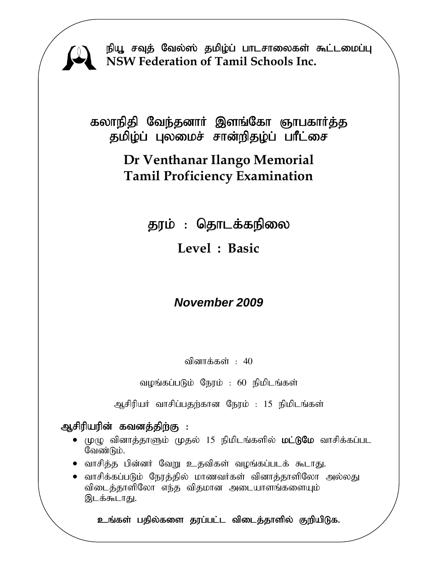

நியூ சவுத் வேல்ஸ் தமிழ்ப் பாடசாலைகள் கூட்டமைப்பு **NSW Federation of Tamil Schools Inc.**

கலாநிதி வேந்தனாா் இளங்கோ ஞாபகாா்த்த தமிழ்ப் புலமைச் சான்றிதழ்ப் பாீட்சை

# **Dr Venthanar Ilango Memorial Tamil Proficiency Examination**

தரம் : தொடக்கநிலை

**Level : Basic** 

# *November 2009*

வினாக்கள் :  $40$ 

வழங்கப்படும் நேரம் : 60 நிமிடங்கள்

ஆசிரியர் வாசிப்பதற்கான நேரம் : 15 நிமிடங்கள்

### ஆசிரியரின் கவனத்திற்கு :

- $\bullet$  (முழு வினாத்தாளும் முதல் 15 நிமிடங்களில் **மட்டுமே** வாசிக்கப்பட வேண்டும்.
- வாசித்த பின்னர் வேறு உதவிகள் வழங்கப்படக் கூடாது.
- ் வாசிக்கப்படும் நேரத்தில் மாணவர்கள் வினாத்தாளிலோ அல்லது விடைத்தாளிலோ எந்த விதமான அடையாளங்களையும் இடக்கூடாது.

உங்கள் பதில்களை தரப்பட்ட விடைத்தாளில் குறியிடுக.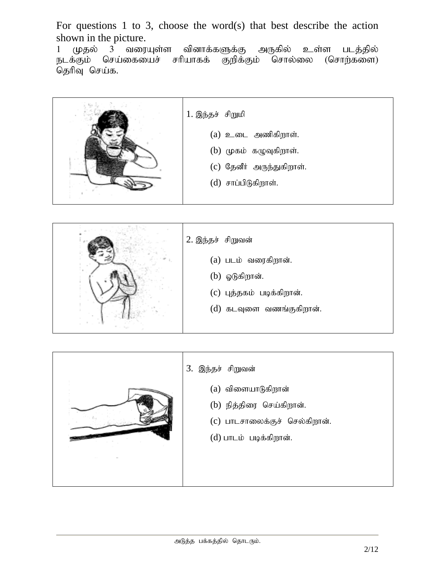For questions 1 to 3, choose the word(s) that best describe the action shown in the picture.

1 முதல் 3 வரையுள்ள வினாக்களுக்கு அருகில் உள்ள படத்தில்<br>நடக்கும் செய்கையைச் சரியாகக் குறிக்கும் சொல்லை (சொற்களை) செய்கையைச் சரியாகக் தெரிவு செய்க.





| 3. இந்தச் சிறுவன்                                                                 |
|-----------------------------------------------------------------------------------|
| $(a)$ விளையாடுகிறான்<br>(b) நித்திரை செய்கிறான்.<br>(c) பாடசாலைக்குச் செல்கிறான். |
| (d) பாடம் படிக்கிறான்.                                                            |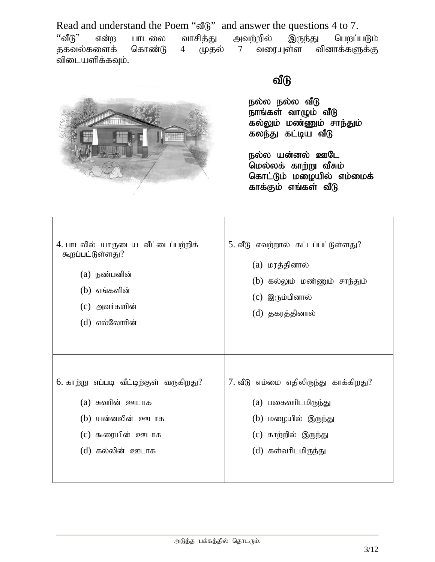Read and understand the Poem "வீடு" and answer the questions 4 to 7.<br>"வீடு" என்ற பாடலை வாசிக்து அவற்றில் இருந்து பெறப்பு ''வீடு" என்ற பாடலை வாசித்து அவற்றில் இருந்து பெறப்படும்<br>தகவல்களைக் கொண்டு 4 முதல் 7 வரையுள்ள வினாக்களுக்கு 4 முதல் 7 வரையுள்ள வினாக்களுக்கு ்விடையளிக்கவும்.



 $\Gamma$ 

## வீடு

நல்ல நல்ல வீடு நாங்கள் வாழும் வீடு கல்லும் மண்ணும் சாந்தும் கலந்து கட்டிய வீடு

நல்ல யன்னல் ஊடே .<br>மெல்லக் கா<u>ற்று</u> வீசும் கொட்டும் மழையில் எம்மைக் காக்கும் எங்கள் வீடு

| 4. பாடலில் யாருடைய வீட்டைப்பற்றிக்<br>கூறப்பட்டுள்ளது?<br>(a) நண்பனின்<br>(b) எங்களின்<br>(c) அவர்களின்<br>(d) எல்லோரின் | 5. வீடு எவற்றால் கட்டப்பட்டுள்ளது?<br>(a) மரத்தினால்<br>(b) கல்லும் மண்ணும் சாந்தும்<br>(c) இரும்பினால்<br>(d) தகரத்தினால் |
|--------------------------------------------------------------------------------------------------------------------------|----------------------------------------------------------------------------------------------------------------------------|
| 6. காற்று எப்படி வீட்டிற்குள் வருகிறது?                                                                                  | 7. வீடு எம்மை எதிலிருந்து காக்கிறது?                                                                                       |
| (a) சுவரின் <u>ஊடா</u> க                                                                                                 | (a) பகைவரிடமிருந்து                                                                                                        |
| (b) யன்னலின் ஊடாக                                                                                                        | (b) மழையில் இருந்து                                                                                                        |
| (c) கூரையின் ஊடாக                                                                                                        | (c) காற்றில் இருந்து                                                                                                       |
| (d) கல்லின் ஊடாக                                                                                                         | (d) கள்வரிடமிருந்து                                                                                                        |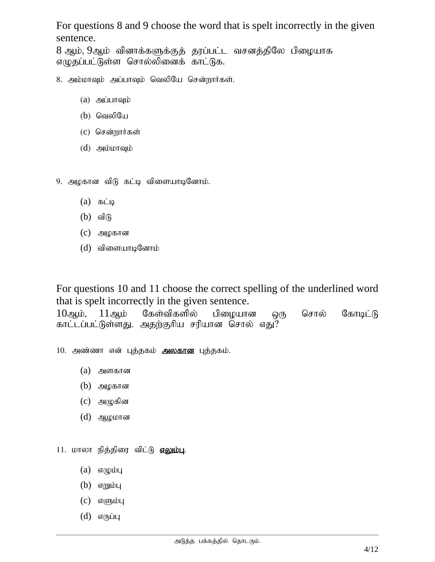For questions 8 and 9 choose the word that is spelt incorrectly in the given sentence.

8 ஆம், 9ஆம் வினாக்களுக்குத் தரப்பட்ட வசனத்திலே பிழையாக எழுதப்பட்டுள்ள சொல்லினைக் காட்டுக.

- 8. அம்மாவும் அப்பாவும் வெலியே சென்றார்கள்.
	- $(a)$  அப்பாவும்
	- $(b)$  வெலியே
	- $(c)$  சென்றார்கள்
	- $(d)$  அம்மாவும்

9. அமகான விடு கட்டி விளையாடினோம்.

- $(a)$   $\delta$ Liq
- $(b)$  விடு
- $(c)$  அழகான
- $(d)$  விளையாடினோம்

For questions 10 and 11 choose the correct spelling of the underlined word that is spelt incorrectly in the given sentence.

 $10$ ஆம்,  $11$ ஆம் கேள்விகளில் பிழையான ஒரு சொல் கோடிட்டு காட்டப்பட்டுள்ளது. அதற்குரிய சரியான சொல் எது?

10. அண்ணா என் புத்தகம் **அலகான** புத்தகம்.

- $(a)$  அளகான
- $(b)$  அழகான
- $(c)$  அழுகின
- $(d)$  ஆழமான

11. மாலா நித்திரை விட்டு **எலும்பு**.

- $(a)$   $\sigma(q)$
- $(b)$  எறும்பு
- $(c)$  எளும்பு
- $(d)$  எருப்பு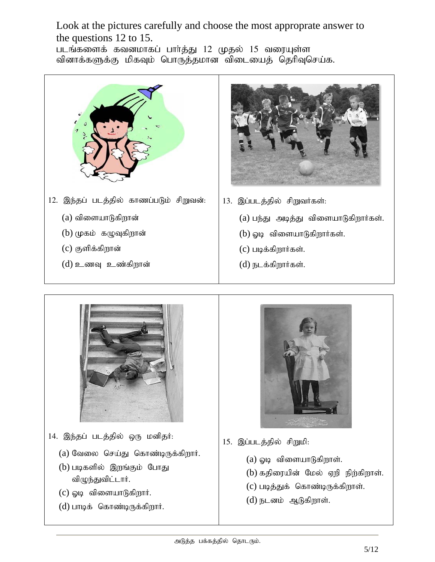Look at the pictures carefully and choose the most approprate answer to the questions 12 to 15.

படங்களைக் கவனமாகப் பார்த்து 12 முதல் 15 வரையுள்ள வினாக்களுக்கு மிகவும் பொருத்தமான விடையைத் தெரிவுசெய்க.





- 13. இப்படத்தில் சிறுவர்கள்:
	- $(a)$  பந்து அடித்து விளையாடுகிறார்கள்.
	- $(b)$  ஓடி விளையாடுகிறார்கள்.
	- $(c)$  படிக்கிறார்கள்.
	- $(d)$  நடக்கிறார்கள்.



- 14. இந்தப் படத்தில் ஒரு மனிதர்:
	- $(a)$  வேலை செய்து கொண்டிருக்கிறார்.
	- (b) படிகளில் இறங்கும் போது விழுந்துவிட்டார்.
	- $(c)$  ஓடி விளையாடுகிறார்.
	- $(d)$  பாடிக் கொண்டிருக்கிறார்.



- 15. இப்படத்தில் சிறுமி:
	- $(a)$  ஓடி விளையாடுகிறாள்.
	- $(b)$  கதிரையின் மேல் ஏறி நிற்கிறாள்.
	- $(c)$  படித்துக் கொண்டிருக்கிறாள்.
	- $(d)$  நடனம் ஆடுகிறாள்.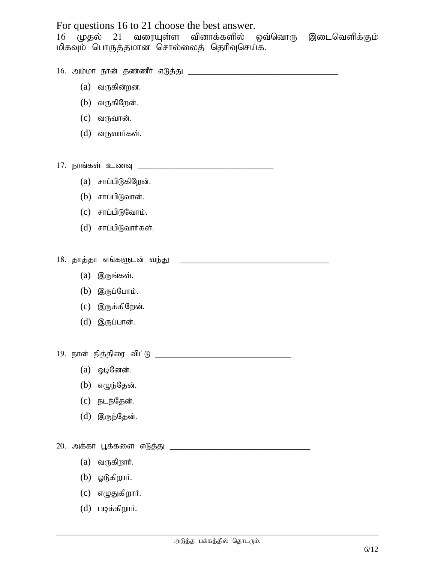For questions 16 to 21 choose the best answer. 16 (முதல் 21 வரையுள்ள வினாக்களில் ஒவ்வொரு இடைவெளிக்கும் மிகவும் பொருத்தமான சொல்லைத் தெரிவுசெய்க. 16. mk;kh ehd; jz;zPH vLj;J \_\_\_\_\_\_\_\_\_\_\_\_\_\_\_\_\_\_\_\_\_\_\_\_\_\_\_\_\_\_\_\_  $(a)$  வருகின்றன.  $(b)$  வருகிறேன்.  $(c)$  வருவான்.  $(d)$  வருவார்கள். 17. நாங்கள் உணவு <u>மான் கால் கால் கால் கால் கால் கால் கால் கா</u>  $(a)$  சாப்பிடுகிறேன்.  $(b)$  சாப்பிடுவான்.  $(c)$  சாப்பிடுவோம்.  $(d)$  சாப்பிடுவார்கள். 18. jhj ;jh vq ;fSld; te ;J \_\_\_\_\_\_\_\_\_\_\_\_\_\_\_\_\_\_\_\_\_\_\_\_\_\_\_\_\_\_\_\_  $(a)$  இருங்கள்.  $(b)$  இருப்போம்.  $(c)$  இருக்கிறேன்.  $(d)$  இருப்பான். 19. ehd; epj;jpiu tpl;L \_\_\_\_\_\_\_\_\_\_\_\_\_\_\_\_\_\_\_\_\_\_\_\_\_\_\_\_\_  $(a)$  ஓடினேன்.  $(b)$  எழுந்தேன்.  $(c)$  நடந்தேன்.  $(d)$  இருந்தேன். 20. mf;fh G+f;fis vLj;J \_\_\_\_\_\_\_\_\_\_\_\_\_\_\_\_\_\_\_\_\_\_\_\_\_\_\_\_\_\_  $(a)$  வருகிறார்.  $(b)$  ஓடுகிறார்.

- $(c)$  எழுதுகிறார்.
- $(d)$  படிக்கிறார்.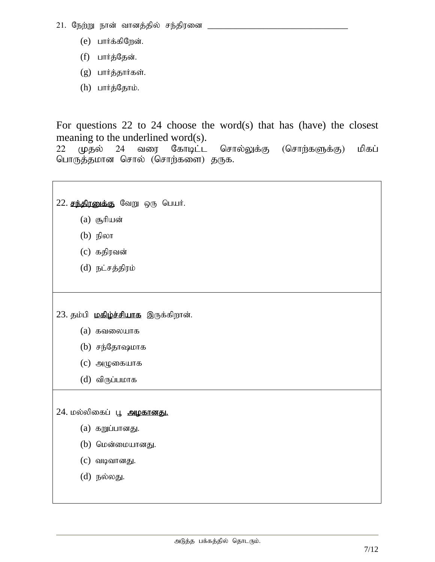- 21. நேற்று நான் வானத்தில் சந்திரனை
	- $(e)$  பார்க்கிறேன்.
	- (f) பார்த்தேன்.
	- $(g)$  பார்த்தார்கள்.
	- $(h)$  பார்த்தோம்.

For questions 22 to 24 choose the word(s) that has (have) the closest meaning to the underlined word(s).

22 (முதல் 24 வரை கோடிட்ட சொல்லுக்கு (சொற்களுக்கு) மிகப் பொருத்தமான சொல் (சொற்களை) தருக.

 $22.$  சந்திரனுக்கு வேறு ஒரு பெயர்.

- $(a)$  சூரியன்
- $(b)$  நிலா
- $(c)$  கதிரவன்
- (d) நட்சத்திரம்

23. தம்பி மகிழ்ச்சியாக இருக்கிறான்.

- (a) ftiyahf
- $(b)$  சந்தோஷமாக
- $(c)$  அழுகையாக
- $(d)$  விருப்பமாக

 $24$ . மல்லிகைப் பூ அழகானது.

- $(a)$  கறுப்பானது.
- $(b)$  மென்மையானது.
- $(c)$  வடிவானது.
- $(d)$  நல்லது.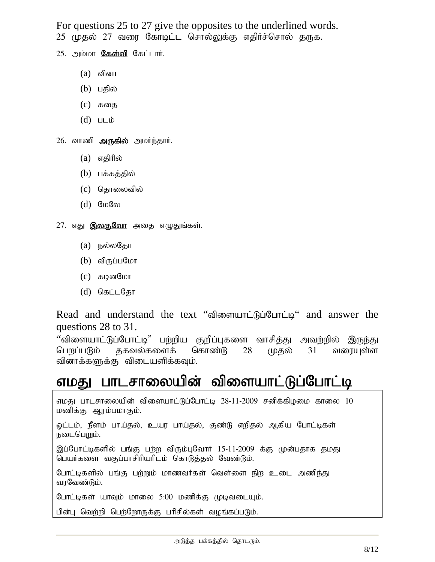For questions 25 to 27 give the opposites to the underlined words. 25 முதல் 27 வரை கோடிட்ட சொல்லுக்கு எதிர்ச்சொல் தருக.

- $25.$  அம்மா  $\sqrt{35}$ ள்வி கேட்டார்.
	- $(a)$  வினா
	- $(b)$  பதில்
	- $(c)$  கதை
	- $(d)$   $\Box$

26. வாணி அருகில் அமர்ந்தார்.

- $(a)$  எதிரில்
- $(b)$  பக்கத்தில்
- (c) தொலைவில்
- $(d)$  Gwew
- 27. எது **இல<u>குவோ</u> அதை எழுதுங்கள்**.
	- $(a)$  நல்லதோ
	- $(b)$  விருப்பமோ
	- $(c)$  கடினமோ
	- $(d)$  கெட்டதோ

Read and understand the text "விளையாட்டுப்போட்டி" and answer the questions 28 to 31.

"விளையாட்டுப்போட்டி" பற்றிய குறிப்புகளை வாசித்து அவற்றில் இருந்து பெறப்படும் தகவல்களைக் கொண்டு 28 முதல் 31 வரையுள்ள வினாக்களுக்கு விடையளிக்கவும்.

# எமது பாடசாலையின் விளையாட்டுப்போட்டி

எமது பாடசாலையின் விளையாட்டுப்போட்டி 28-11-2009 சனிக்கிழமை காலை 10 மணிக்கு ஆரம்பமாகும்.

ஓட்டம், நீளம் பாய்தல், உயர பாய்தல், குண்டு எறிதல் ஆகிய போட்டிகள் நடைபெறும்.

இப்போட்டிகளில் பங்கு பற்ற விரும்புவோர் 15-11-2009 க்கு முன்பதாக தமது பெயர்களை வகுப்பாசிரியரிடம் கொடுத்தல் வேண்டும்.

போட்டிகளில் பங்கு பற்றும் மாணவர்கள் வெள்ளை நிற உடை அணிந்து வரவேண்டும்.

போட்டிகள் யாவும் மாலை 5:00 மணிக்கு முடிவடையும்.

பின்பு வெற்றி பெற்றோருக்கு பரிசில்கள் வழங்கப்படும்.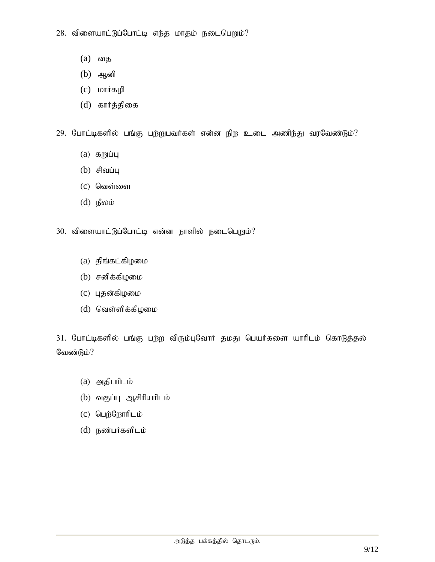- $(a)$  வைத
- $(b)$  அனி
- $(c)$  மார்கழி
- (d) கார்த்திகை

 $29.$  போட்டிகளில் பங்கு பற்றுபவர்கள் என்ன நிற உடை அணிந்து வரவேண்டும்?

- $(a)$  கறுப்பு
- $(b)$  சிவப்பு
- $(c)$  வெள்ளை
- $(d)$  நீலம்
- 30. விளையாட்டுப்போட்டி என்ன நாளில் நடைபெறும்?
	- $(a)$  திங்கட்கிழமை
	- $(b)$  சனிக்கிழமை
	- $(c)$  புதன்கிழமை
	- $(d)$  வெள்ளிக்கிழமை

31. போட்டிகளில் பங்கு பற்ற விரும்புவோர் தமது பெயர்களை யாரிடம் கொடுத்தல் வேண்டும்?

- $(a)$  அதிபரிடம்
- $(b)$  வகுப்பு ஆசிரியரிடம்
- $(c)$  பெற்றோரிடம்
- $(d)$  நண்பர்களிடம்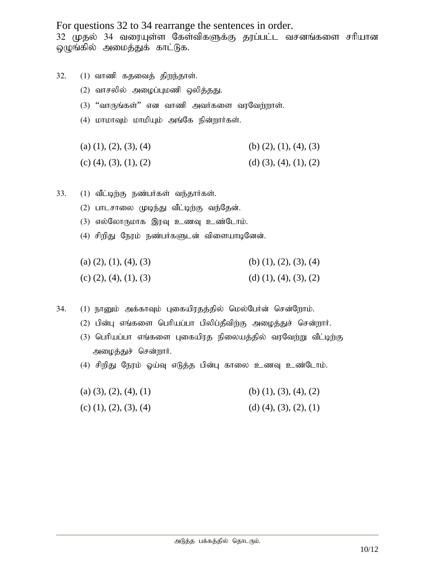For questions 32 to 34 rearrange the sentences in order.

32 முதல் 34 வரையுள்ள கேள்விகளுக்கு தரப்பட்ட வசனங்களை சரியான ஒழுங்கில் அமைத்துக் காட்டுக.

- $32.$   $(1)$  வாணி கதவைத் திறந்தாள்.
	- $(2)$  வாசலில் அழைப்புமணி ஒலித்தது.
	- (3) "வாருங்கள்" என வாணி அவர்களை வரவேற்றாள்.
	- $(4)$  மாமாவும் மாமியும் அங்கே நின்றார்கள்.
	- (a)  $(1), (2), (3), (4)$  (b)  $(2), (1), (4), (3)$
	- (c)  $(4)$ ,  $(3)$ ,  $(1)$ ,  $(2)$  (d)  $(3)$ ,  $(4)$ ,  $(1)$ ,  $(2)$
- 33.  $(1)$  வீட்டிற்கு நண்பர்கள் வந்தார்கள்.
	- $(2)$  பாடசாலை முடிந்து வீட்டிற்கு வந்தேன்.
	- $(3)$  எல்லோருமாக இரவு உணவு உண்டோம்.
	- $(4)$  சிறிது நேரம் நண்பர்களுடன் விளையாடினேன்.
	- (a)  $(2), (1), (4), (3)$  (b)  $(1), (2), (3), (4)$ (c)  $(2)$ ,  $(4)$ ,  $(1)$ ,  $(3)$  (d)  $(1)$ ,  $(4)$ ,  $(3)$ ,  $(2)$

34. (1) நானும் அக்காவும் புகையிரதத்தில் மெல்பேர்ன் சென்றோம்.

- $(2)$  பின்பு எங்களை பெரியப்பா பிலிப்தீவிற்கு அழைத்துச் சென்றார்.
- (3) பெரியப்பா எங்களை புகையிரத நிலையத்தில் வரவேற்று வீட்டிற்கு அழைத்துச் சென்றார்.
- (4) சிறிது நேரம் ஓய்வு எடுத்த பின்பு காலை உணவு உண்டோம்.

| (a) $(3)$ , $(2)$ , $(4)$ , $(1)$ | (b) (1), (3), (4), (2)            |
|-----------------------------------|-----------------------------------|
| (c) $(1)$ , $(2)$ , $(3)$ , $(4)$ | (d) $(4)$ , $(3)$ , $(2)$ , $(1)$ |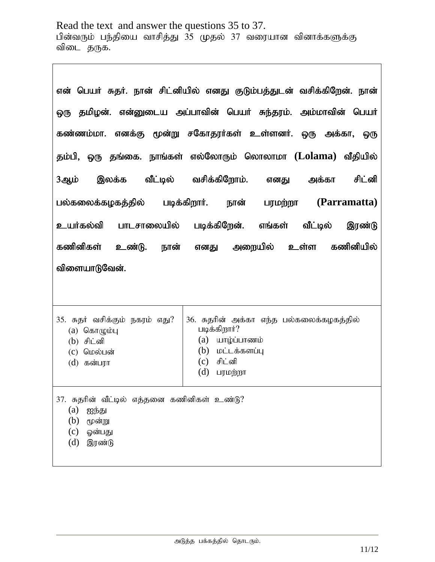Read the text and answer the questions 35 to 37. பின்வரும் பந்தியை வாசித்து 35 முதல் 37 வரையான வினாக்களுக்கு விடை தருக.

|                                                  | என் பெயர் சுதர். நான் சிட்னியில் எனது குடும்பத்துடன் வசிக்கிறேன். நான் |  |
|--------------------------------------------------|------------------------------------------------------------------------|--|
|                                                  | ஒரு தமிழன். என்னுடைய அப்பாவின் பெயர் சுந்தரம். அம்மாவின் பெயர்         |  |
|                                                  | கண்ணம்மா. எனக்கு மூன்று சகோதரர்கள் உள்ளனர். ஒரு அக்கா, ஒரு             |  |
|                                                  | தம்பி, ஒரு தங்கை. நாங்கள் எல்லோரும் லொலாமா (Lolama) வீதியில்           |  |
| இலக்க<br>3ஆம்                                    | வீட்டில் வசிக்கிறோம். எனது அக்கா<br>சிட்னி                             |  |
| பல்கலைக்கழகத்தில் படிக்கிறார். நான்              | (Parramatta)<br>பரமற்றா                                                |  |
| உயர்கல்வி                                        | பாடசாலையில் படிக்கிறேன். எங்கள்<br>வீட்டில்<br>இரண்டு                  |  |
| கணினிகள்<br>உண்டு. நான்                          | எனது அறையில் உள்ள கணினியில்                                            |  |
| விளையாடுவேன்.                                    |                                                                        |  |
|                                                  |                                                                        |  |
| 35. சுதர் வசிக்கும் நகரம் எது?<br>$(a)$ கொழும்பு | 36. சுதரின் அக்கா எந்த பல்கலைக்கழகத்தில்<br>படிக்கிறார்?               |  |
| (b) சிட்னி                                       | (a)<br>யாழ்ப்பாணம்                                                     |  |
| $(c)$ மெல்பன்<br>$(d)$ கன்பரா                    | (b)<br>மட்டக்களப்பு<br>சிட்னி<br>(c)                                   |  |
|                                                  | (d)<br>பரமற்றா                                                         |  |
| 37. சுதரின் வீட்டில் எத்தனை கணினிகள் உண்டு?      |                                                                        |  |
| (a)<br>ஐந்து<br>மூன்று                           |                                                                        |  |
| (b)<br>(c)<br>ஓன்பது                             |                                                                        |  |
| (d)<br>இரண்டு                                    |                                                                        |  |
|                                                  |                                                                        |  |